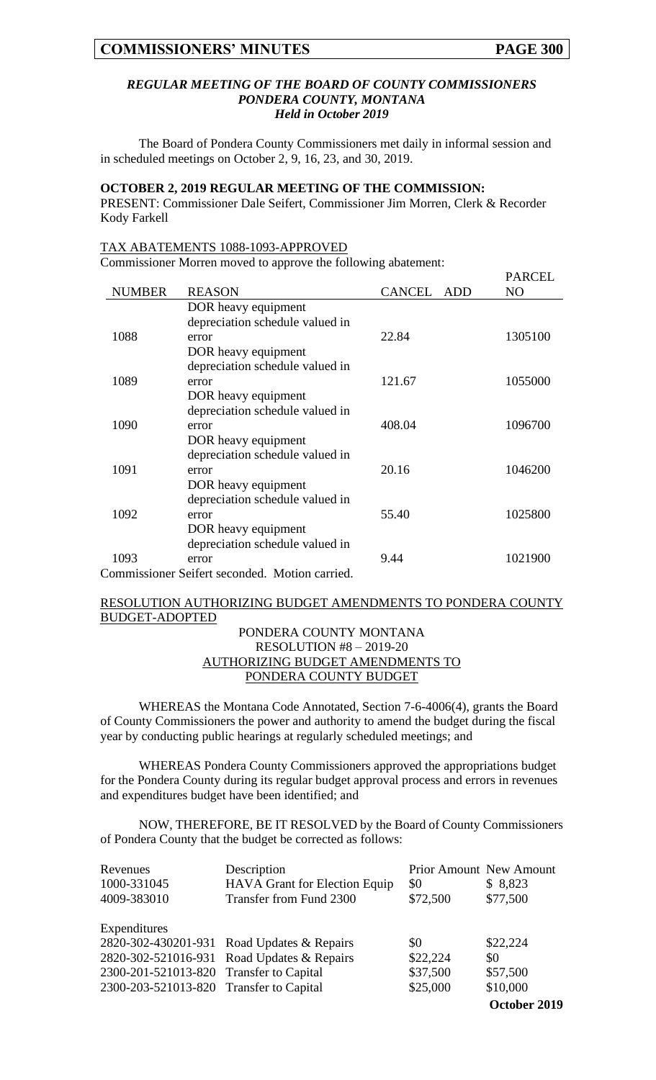PARCEL

#### *REGULAR MEETING OF THE BOARD OF COUNTY COMMISSIONERS PONDERA COUNTY, MONTANA Held in October 2019*

The Board of Pondera County Commissioners met daily in informal session and in scheduled meetings on October 2, 9, 16, 23, and 30, 2019.

#### **OCTOBER 2, 2019 REGULAR MEETING OF THE COMMISSION:**

PRESENT: Commissioner Dale Seifert, Commissioner Jim Morren, Clerk & Recorder Kody Farkell

#### TAX ABATEMENTS 1088-1093-APPROVED

Commissioner Morren moved to approve the following abatement:

|                                                |                                 |                      | PARCEL         |  |
|------------------------------------------------|---------------------------------|----------------------|----------------|--|
| <b>NUMBER</b>                                  | <b>REASON</b>                   | <b>CANCEL</b><br>ADD | N <sub>O</sub> |  |
|                                                | DOR heavy equipment             |                      |                |  |
|                                                | depreciation schedule valued in |                      |                |  |
| 1088                                           | error                           | 22.84                | 1305100        |  |
|                                                | DOR heavy equipment             |                      |                |  |
|                                                | depreciation schedule valued in |                      |                |  |
| 1089                                           | error                           | 121.67               | 1055000        |  |
|                                                | DOR heavy equipment             |                      |                |  |
|                                                | depreciation schedule valued in |                      |                |  |
| 1090                                           | error                           | 408.04               | 1096700        |  |
|                                                | DOR heavy equipment             |                      |                |  |
|                                                | depreciation schedule valued in |                      |                |  |
| 1091                                           | error                           | 20.16                | 1046200        |  |
|                                                | DOR heavy equipment             |                      |                |  |
|                                                | depreciation schedule valued in |                      |                |  |
| 1092                                           | error                           | 55.40                | 1025800        |  |
|                                                | DOR heavy equipment             |                      |                |  |
|                                                | depreciation schedule valued in |                      |                |  |
| 1093                                           | error                           | 9.44                 | 1021900        |  |
| Commissioner Seifert seconded. Motion carried. |                                 |                      |                |  |

#### RESOLUTION AUTHORIZING BUDGET AMENDMENTS TO PONDERA COUNTY BUDGET-ADOPTED

## PONDERA COUNTY MONTANA RESOLUTION #8 – 2019-20 AUTHORIZING BUDGET AMENDMENTS TO PONDERA COUNTY BUDGET

WHEREAS the Montana Code Annotated, Section 7-6-4006(4), grants the Board of County Commissioners the power and authority to amend the budget during the fiscal year by conducting public hearings at regularly scheduled meetings; and

WHEREAS Pondera County Commissioners approved the appropriations budget for the Pondera County during its regular budget approval process and errors in revenues and expenditures budget have been identified; and

NOW, THEREFORE, BE IT RESOLVED by the Board of County Commissioners of Pondera County that the budget be corrected as follows:

| Revenues                                | Description                                | <b>Prior Amount New Amount</b> |              |
|-----------------------------------------|--------------------------------------------|--------------------------------|--------------|
| 1000-331045                             | HAVA Grant for Election Equip              | \$0                            | \$8,823      |
| 4009-383010                             | Transfer from Fund 2300                    | \$72,500                       | \$77,500     |
| Expenditures                            |                                            |                                |              |
|                                         | 2820-302-430201-931 Road Updates & Repairs | \$0                            | \$22,224     |
|                                         | 2820-302-521016-931 Road Updates & Repairs | \$22,224                       | \$0          |
| 2300-201-521013-820 Transfer to Capital |                                            | \$37,500                       | \$57,500     |
| 2300-203-521013-820 Transfer to Capital |                                            | \$25,000                       | \$10,000     |
|                                         |                                            |                                | October 2019 |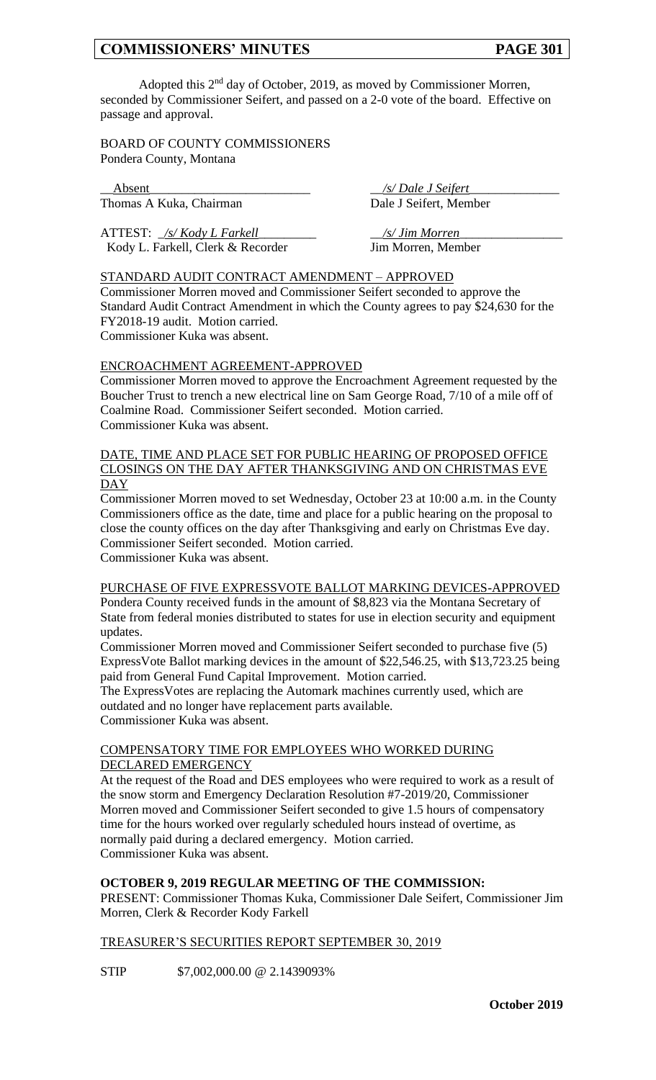Adopted this 2<sup>nd</sup> day of October, 2019, as moved by Commissioner Morren, seconded by Commissioner Seifert, and passed on a 2-0 vote of the board. Effective on passage and approval.

BOARD OF COUNTY COMMISSIONERS Pondera County, Montana

\_\_Absent\_\_\_\_\_\_\_\_\_\_\_\_\_\_\_\_\_\_\_\_\_\_\_\_\_ \_\_*/s/ Dale J Seifert*\_\_\_\_\_\_\_\_\_\_\_\_\_\_ Thomas A Kuka, Chairman Dale J Seifert, Member

ATTEST: \_*/s/ Kody L Farkell*\_\_\_\_\_\_\_\_\_ \_\_*/s/ Jim Morren*\_\_\_\_\_\_\_\_\_\_\_\_\_\_\_\_ Kody L. Farkell, Clerk & Recorder Jim Morren, Member

### STANDARD AUDIT CONTRACT AMENDMENT – APPROVED

Commissioner Morren moved and Commissioner Seifert seconded to approve the Standard Audit Contract Amendment in which the County agrees to pay \$24,630 for the FY2018-19 audit. Motion carried.

Commissioner Kuka was absent.

### ENCROACHMENT AGREEMENT-APPROVED

Commissioner Morren moved to approve the Encroachment Agreement requested by the Boucher Trust to trench a new electrical line on Sam George Road, 7/10 of a mile off of Coalmine Road. Commissioner Seifert seconded. Motion carried. Commissioner Kuka was absent.

### DATE, TIME AND PLACE SET FOR PUBLIC HEARING OF PROPOSED OFFICE CLOSINGS ON THE DAY AFTER THANKSGIVING AND ON CHRISTMAS EVE DAY

Commissioner Morren moved to set Wednesday, October 23 at 10:00 a.m. in the County Commissioners office as the date, time and place for a public hearing on the proposal to close the county offices on the day after Thanksgiving and early on Christmas Eve day. Commissioner Seifert seconded. Motion carried.

Commissioner Kuka was absent.

PURCHASE OF FIVE EXPRESSVOTE BALLOT MARKING DEVICES-APPROVED Pondera County received funds in the amount of \$8,823 via the Montana Secretary of State from federal monies distributed to states for use in election security and equipment updates.

Commissioner Morren moved and Commissioner Seifert seconded to purchase five (5) ExpressVote Ballot marking devices in the amount of \$22,546.25, with \$13,723.25 being paid from General Fund Capital Improvement. Motion carried.

The ExpressVotes are replacing the Automark machines currently used, which are outdated and no longer have replacement parts available. Commissioner Kuka was absent.

### COMPENSATORY TIME FOR EMPLOYEES WHO WORKED DURING DECLARED EMERGENCY

At the request of the Road and DES employees who were required to work as a result of the snow storm and Emergency Declaration Resolution #7-2019/20, Commissioner Morren moved and Commissioner Seifert seconded to give 1.5 hours of compensatory time for the hours worked over regularly scheduled hours instead of overtime, as normally paid during a declared emergency. Motion carried. Commissioner Kuka was absent.

# **OCTOBER 9, 2019 REGULAR MEETING OF THE COMMISSION:**

PRESENT: Commissioner Thomas Kuka, Commissioner Dale Seifert, Commissioner Jim Morren, Clerk & Recorder Kody Farkell

### TREASURER'S SECURITIES REPORT SEPTEMBER 30, 2019

STIP \$7,002,000.00 @ 2.1439093%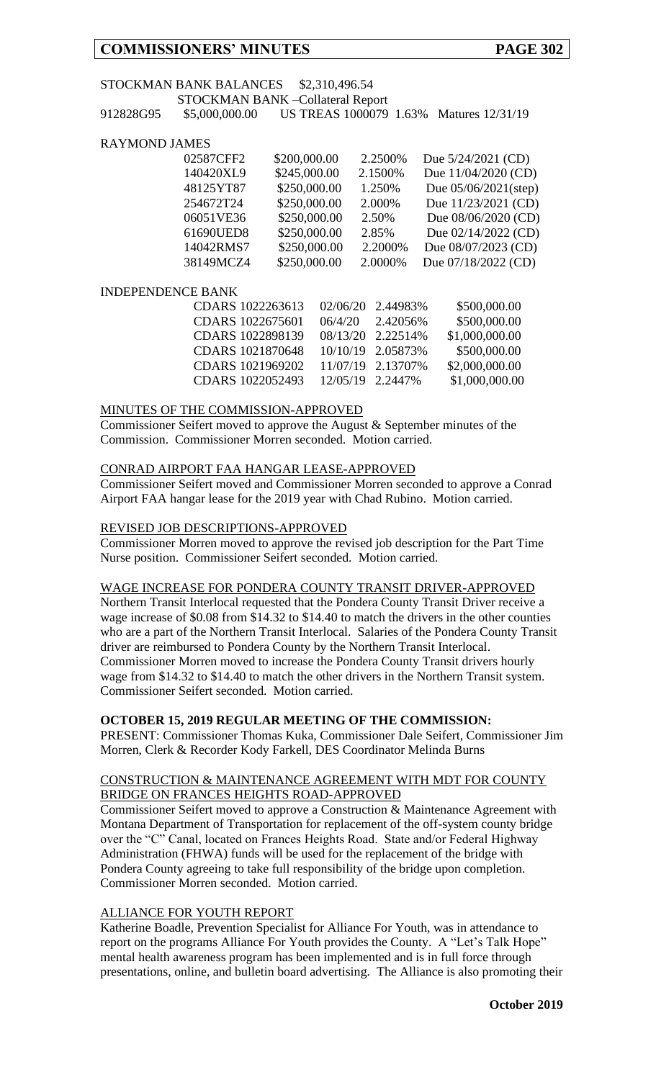# STOCKMAN BANK BALANCES \$2,310,496.54

STOCKMAN BANK –Collateral Report 912828G95 \$5,000,000.00 US TREAS 1000079 1.63% Matures 12/31/19

## RAYMOND JAMES

| 02587CFF2 | \$200,000.00 | 2.2500% | Due $5/24/2021$ (CD)    |
|-----------|--------------|---------|-------------------------|
| 140420XL9 | \$245,000.00 | 2.1500% | Due 11/04/2020 (CD)     |
| 48125YT87 | \$250,000.00 | 1.250%  | Due $05/06/2021$ (step) |
| 254672T24 | \$250,000.00 | 2.000%  | Due 11/23/2021 (CD)     |
| 06051VE36 | \$250,000.00 | 2.50%   | Due 08/06/2020 (CD)     |
| 61690UED8 | \$250,000.00 | 2.85%   | Due 02/14/2022 (CD)     |
| 14042RMS7 | \$250,000.00 | 2.2000% | Due 08/07/2023 (CD)     |
| 38149MCZ4 | \$250,000.00 | 2.0000% | Due 07/18/2022 (CD)     |
|           |              |         |                         |

### INDEPENDENCE BANK

| CDARS 1022263613 02/06/20 2.44983% |                  |                   | \$500,000.00   |
|------------------------------------|------------------|-------------------|----------------|
| CDARS 1022675601                   |                  | 06/4/20 2.42056%  | \$500,000.00   |
| CDARS 1022898139                   |                  | 08/13/20 2.22514% | \$1,000,000.00 |
| CDARS 1021870648                   |                  | 10/10/19 2.05873% | \$500,000.00   |
| CDARS 1021969202                   |                  | 11/07/19 2.13707% | \$2,000,000.00 |
| CDARS 1022052493                   | 12/05/19 2.2447% |                   | \$1,000,000.00 |
|                                    |                  |                   |                |

## MINUTES OF THE COMMISSION-APPROVED

Commissioner Seifert moved to approve the August & September minutes of the Commission. Commissioner Morren seconded. Motion carried.

## CONRAD AIRPORT FAA HANGAR LEASE-APPROVED

Commissioner Seifert moved and Commissioner Morren seconded to approve a Conrad Airport FAA hangar lease for the 2019 year with Chad Rubino. Motion carried.

### REVISED JOB DESCRIPTIONS-APPROVED

Commissioner Morren moved to approve the revised job description for the Part Time Nurse position. Commissioner Seifert seconded. Motion carried.

# WAGE INCREASE FOR PONDERA COUNTY TRANSIT DRIVER-APPROVED

Northern Transit Interlocal requested that the Pondera County Transit Driver receive a wage increase of \$0.08 from \$14.32 to \$14.40 to match the drivers in the other counties who are a part of the Northern Transit Interlocal. Salaries of the Pondera County Transit driver are reimbursed to Pondera County by the Northern Transit Interlocal. Commissioner Morren moved to increase the Pondera County Transit drivers hourly wage from \$14.32 to \$14.40 to match the other drivers in the Northern Transit system. Commissioner Seifert seconded. Motion carried.

### **OCTOBER 15, 2019 REGULAR MEETING OF THE COMMISSION:**

PRESENT: Commissioner Thomas Kuka, Commissioner Dale Seifert, Commissioner Jim Morren, Clerk & Recorder Kody Farkell, DES Coordinator Melinda Burns

## CONSTRUCTION & MAINTENANCE AGREEMENT WITH MDT FOR COUNTY BRIDGE ON FRANCES HEIGHTS ROAD-APPROVED

Commissioner Seifert moved to approve a Construction & Maintenance Agreement with Montana Department of Transportation for replacement of the off-system county bridge over the "C" Canal, located on Frances Heights Road. State and/or Federal Highway Administration (FHWA) funds will be used for the replacement of the bridge with Pondera County agreeing to take full responsibility of the bridge upon completion. Commissioner Morren seconded. Motion carried.

# ALLIANCE FOR YOUTH REPORT

Katherine Boadle, Prevention Specialist for Alliance For Youth, was in attendance to report on the programs Alliance For Youth provides the County. A "Let's Talk Hope" mental health awareness program has been implemented and is in full force through presentations, online, and bulletin board advertising. The Alliance is also promoting their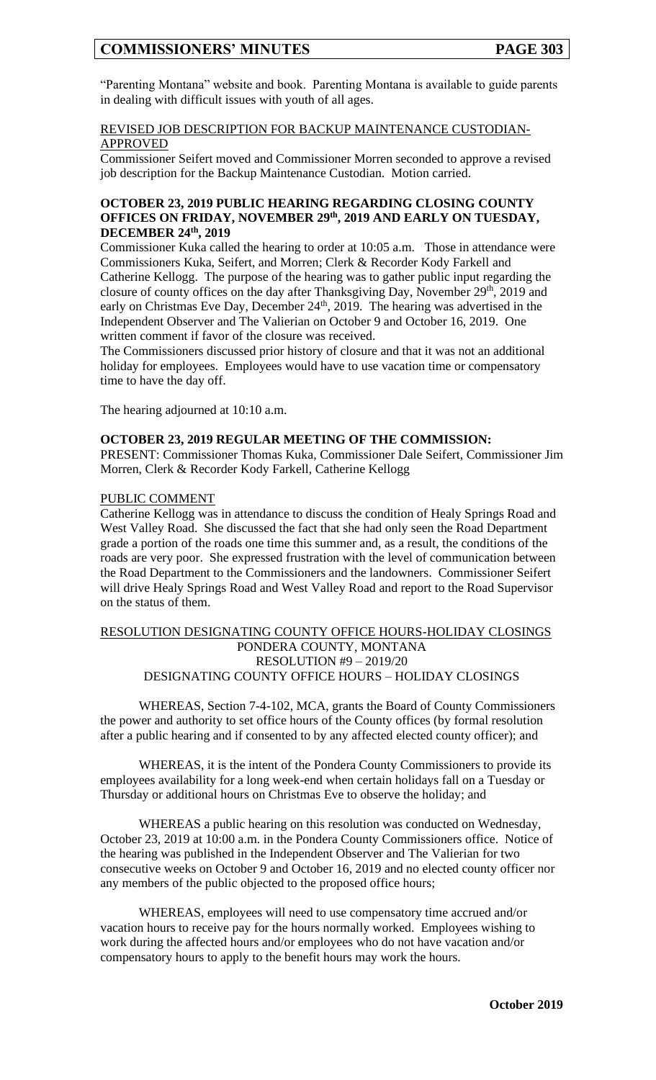"Parenting Montana" website and book. Parenting Montana is available to guide parents in dealing with difficult issues with youth of all ages.

### REVISED JOB DESCRIPTION FOR BACKUP MAINTENANCE CUSTODIAN-APPROVED

Commissioner Seifert moved and Commissioner Morren seconded to approve a revised job description for the Backup Maintenance Custodian. Motion carried.

#### **OCTOBER 23, 2019 PUBLIC HEARING REGARDING CLOSING COUNTY OFFICES ON FRIDAY, NOVEMBER 29th, 2019 AND EARLY ON TUESDAY, DECEMBER 24th, 2019**

Commissioner Kuka called the hearing to order at 10:05 a.m. Those in attendance were Commissioners Kuka, Seifert, and Morren; Clerk & Recorder Kody Farkell and Catherine Kellogg. The purpose of the hearing was to gather public input regarding the closure of county offices on the day after Thanksgiving Day, November  $29<sup>th</sup>$ , 2019 and early on Christmas Eve Day, December  $24<sup>th</sup>$ , 2019. The hearing was advertised in the Independent Observer and The Valierian on October 9 and October 16, 2019. One written comment if favor of the closure was received.

The Commissioners discussed prior history of closure and that it was not an additional holiday for employees. Employees would have to use vacation time or compensatory time to have the day off.

The hearing adjourned at 10:10 a.m.

#### **OCTOBER 23, 2019 REGULAR MEETING OF THE COMMISSION:**

PRESENT: Commissioner Thomas Kuka, Commissioner Dale Seifert, Commissioner Jim Morren, Clerk & Recorder Kody Farkell, Catherine Kellogg

#### PUBLIC COMMENT

Catherine Kellogg was in attendance to discuss the condition of Healy Springs Road and West Valley Road. She discussed the fact that she had only seen the Road Department grade a portion of the roads one time this summer and, as a result, the conditions of the roads are very poor. She expressed frustration with the level of communication between the Road Department to the Commissioners and the landowners. Commissioner Seifert will drive Healy Springs Road and West Valley Road and report to the Road Supervisor on the status of them.

#### RESOLUTION DESIGNATING COUNTY OFFICE HOURS-HOLIDAY CLOSINGS PONDERA COUNTY, MONTANA RESOLUTION #9 – 2019/20 DESIGNATING COUNTY OFFICE HOURS – HOLIDAY CLOSINGS

WHEREAS, Section 7-4-102, MCA, grants the Board of County Commissioners the power and authority to set office hours of the County offices (by formal resolution after a public hearing and if consented to by any affected elected county officer); and

WHEREAS, it is the intent of the Pondera County Commissioners to provide its employees availability for a long week-end when certain holidays fall on a Tuesday or Thursday or additional hours on Christmas Eve to observe the holiday; and

WHEREAS a public hearing on this resolution was conducted on Wednesday, October 23, 2019 at 10:00 a.m. in the Pondera County Commissioners office. Notice of the hearing was published in the Independent Observer and The Valierian for two consecutive weeks on October 9 and October 16, 2019 and no elected county officer nor any members of the public objected to the proposed office hours;

WHEREAS, employees will need to use compensatory time accrued and/or vacation hours to receive pay for the hours normally worked. Employees wishing to work during the affected hours and/or employees who do not have vacation and/or compensatory hours to apply to the benefit hours may work the hours.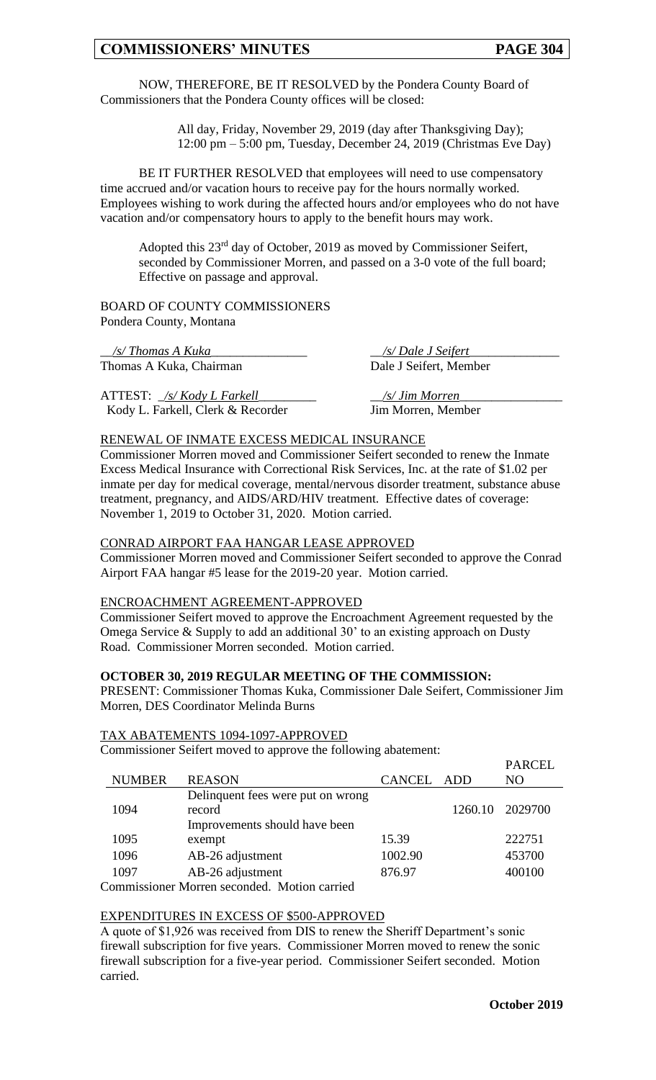All day, Friday, November 29, 2019 (day after Thanksgiving Day); 12:00 pm – 5:00 pm, Tuesday, December 24, 2019 (Christmas Eve Day)

BE IT FURTHER RESOLVED that employees will need to use compensatory time accrued and/or vacation hours to receive pay for the hours normally worked. Employees wishing to work during the affected hours and/or employees who do not have vacation and/or compensatory hours to apply to the benefit hours may work.

Adopted this 23<sup>rd</sup> day of October, 2019 as moved by Commissioner Seifert, seconded by Commissioner Morren, and passed on a 3-0 vote of the full board; Effective on passage and approval.

BOARD OF COUNTY COMMISSIONERS Pondera County, Montana

\_\_*/s/ Thomas A Kuka*\_\_\_\_\_\_\_\_\_\_\_\_\_\_\_ \_\_*/s/ Dale J Seifert*\_\_\_\_\_\_\_\_\_\_\_\_\_\_ Thomas A Kuka, Chairman Dale J Seifert, Member

ATTEST: \_*/s/ Kody L Farkell*\_\_\_\_\_\_\_\_\_ \_\_*/s/ Jim Morren*\_\_\_\_\_\_\_\_\_\_\_\_\_\_\_\_ Kody L. Farkell, Clerk & Recorder Jim Morren, Member

#### RENEWAL OF INMATE EXCESS MEDICAL INSURANCE

Commissioner Morren moved and Commissioner Seifert seconded to renew the Inmate Excess Medical Insurance with Correctional Risk Services, Inc. at the rate of \$1.02 per inmate per day for medical coverage, mental/nervous disorder treatment, substance abuse treatment, pregnancy, and AIDS/ARD/HIV treatment. Effective dates of coverage: November 1, 2019 to October 31, 2020. Motion carried.

#### CONRAD AIRPORT FAA HANGAR LEASE APPROVED

Commissioner Morren moved and Commissioner Seifert seconded to approve the Conrad Airport FAA hangar #5 lease for the 2019-20 year. Motion carried.

#### ENCROACHMENT AGREEMENT-APPROVED

Commissioner Seifert moved to approve the Encroachment Agreement requested by the Omega Service & Supply to add an additional 30' to an existing approach on Dusty Road. Commissioner Morren seconded. Motion carried.

#### **OCTOBER 30, 2019 REGULAR MEETING OF THE COMMISSION:**

PRESENT: Commissioner Thomas Kuka, Commissioner Dale Seifert, Commissioner Jim Morren, DES Coordinator Melinda Burns

#### TAX ABATEMENTS 1094-1097-APPROVED

Commissioner Seifert moved to approve the following abatement:

|                                             |                                   |            |         | FANCEL         |  |
|---------------------------------------------|-----------------------------------|------------|---------|----------------|--|
| <b>NUMBER</b>                               | <b>REASON</b>                     | CANCEL ADD |         | N <sub>O</sub> |  |
|                                             | Delinquent fees were put on wrong |            |         |                |  |
| 1094                                        | record                            |            | 1260.10 | 2029700        |  |
|                                             | Improvements should have been     |            |         |                |  |
| 1095                                        | exempt                            | 15.39      |         | 222751         |  |
| 1096                                        | AB-26 adjustment                  | 1002.90    |         | 453700         |  |
| 1097                                        | AB-26 adjustment                  | 876.97     |         | 400100         |  |
| Commissioner Morron seconded Motion corried |                                   |            |         |                |  |

Commissioner Morren seconded. Motion carried

## EXPENDITURES IN EXCESS OF \$500-APPROVED

A quote of \$1,926 was received from DIS to renew the Sheriff Department's sonic firewall subscription for five years. Commissioner Morren moved to renew the sonic firewall subscription for a five-year period. Commissioner Seifert seconded. Motion carried.

 $DADCLI$